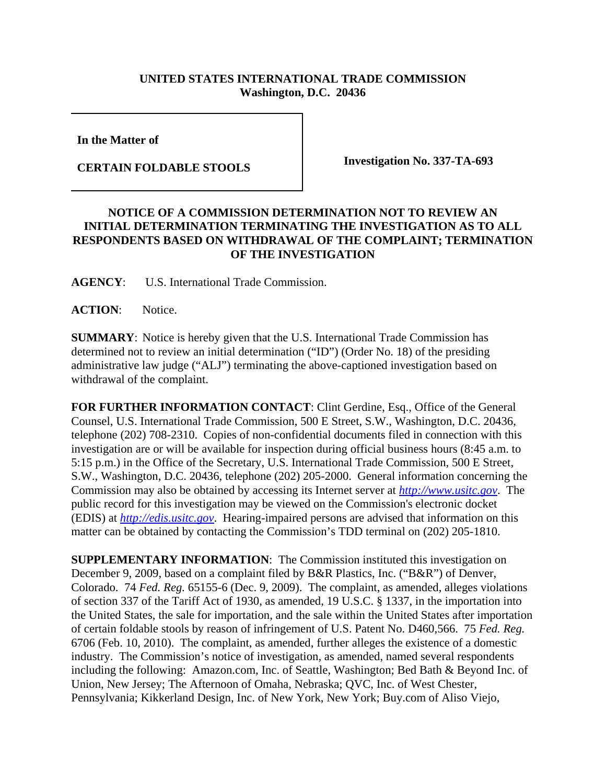## **UNITED STATES INTERNATIONAL TRADE COMMISSION Washington, D.C. 20436**

**In the Matter of** 

**CERTAIN FOLDABLE STOOLS Investigation No. 337-TA-693**

## **NOTICE OF A COMMISSION DETERMINATION NOT TO REVIEW AN INITIAL DETERMINATION TERMINATING THE INVESTIGATION AS TO ALL RESPONDENTS BASED ON WITHDRAWAL OF THE COMPLAINT; TERMINATION OF THE INVESTIGATION**

**AGENCY**: U.S. International Trade Commission.

**ACTION**: Notice.

**SUMMARY**: Notice is hereby given that the U.S. International Trade Commission has determined not to review an initial determination ("ID") (Order No. 18) of the presiding administrative law judge ("ALJ") terminating the above-captioned investigation based on withdrawal of the complaint.

**FOR FURTHER INFORMATION CONTACT**: Clint Gerdine, Esq., Office of the General Counsel, U.S. International Trade Commission, 500 E Street, S.W., Washington, D.C. 20436, telephone (202) 708-2310. Copies of non-confidential documents filed in connection with this investigation are or will be available for inspection during official business hours (8:45 a.m. to 5:15 p.m.) in the Office of the Secretary, U.S. International Trade Commission, 500 E Street, S.W., Washington, D.C. 20436, telephone (202) 205-2000. General information concerning the Commission may also be obtained by accessing its Internet server at *http://www.usitc.gov*. The public record for this investigation may be viewed on the Commission's electronic docket (EDIS) at *http://edis.usitc.gov*. Hearing-impaired persons are advised that information on this matter can be obtained by contacting the Commission's TDD terminal on (202) 205-1810.

**SUPPLEMENTARY INFORMATION:** The Commission instituted this investigation on December 9, 2009, based on a complaint filed by B&R Plastics, Inc. ("B&R") of Denver, Colorado. 74 *Fed. Reg.* 65155-6 (Dec. 9, 2009). The complaint, as amended, alleges violations of section 337 of the Tariff Act of 1930, as amended, 19 U.S.C. § 1337, in the importation into the United States, the sale for importation, and the sale within the United States after importation of certain foldable stools by reason of infringement of U.S. Patent No. D460,566. 75 *Fed. Reg.* 6706 (Feb. 10, 2010). The complaint, as amended, further alleges the existence of a domestic industry. The Commission's notice of investigation, as amended, named several respondents including the following: Amazon.com, Inc. of Seattle, Washington; Bed Bath & Beyond Inc. of Union, New Jersey; The Afternoon of Omaha, Nebraska; QVC, Inc. of West Chester, Pennsylvania; Kikkerland Design, Inc. of New York, New York; Buy.com of Aliso Viejo,